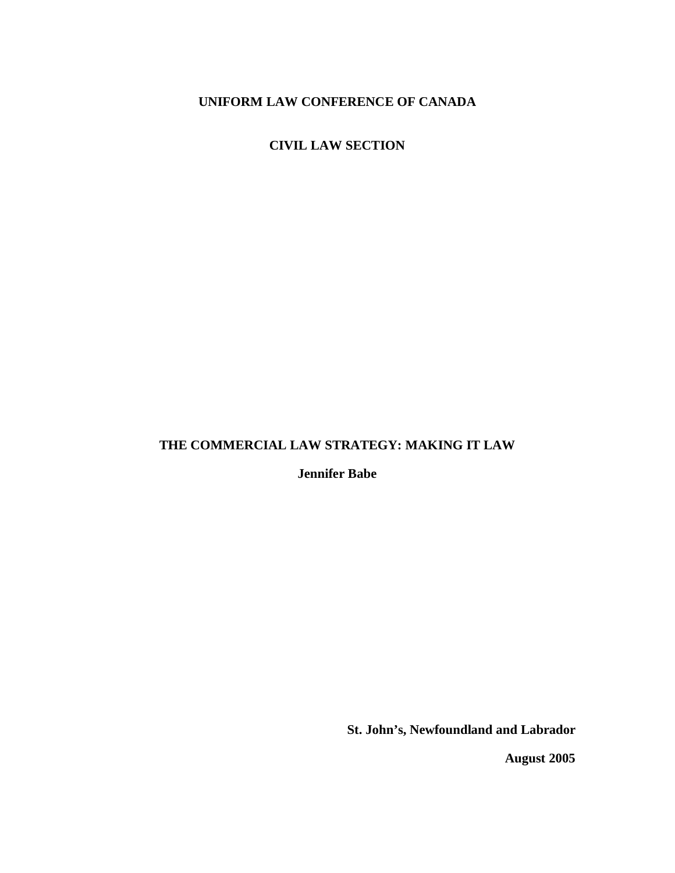# **UNIFORM LAW CONFERENCE OF CANADA**

**CIVIL LAW SECTION**

# **THE COMMERCIAL LAW STRATEGY: MAKING IT LAW**

**Jennifer Babe**

**St. John's, Newfoundland and Labrador**

**August 2005**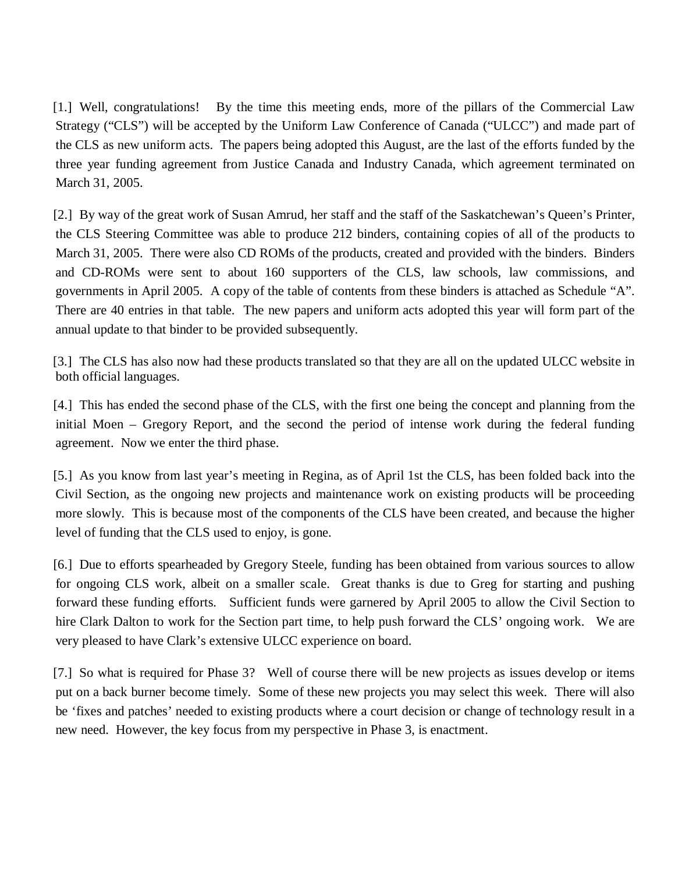[1.] Well, congratulations! By the time this meeting ends, more of the pillars of the Commercial Law Strategy ("CLS") will be accepted by the Uniform Law Conference of Canada ("ULCC") and made part of the CLS as new uniform acts. The papers being adopted this August, are the last of the efforts funded by the three year funding agreement from Justice Canada and Industry Canada, which agreement terminated on March 31, 2005.

[2.] By way of the great work of Susan Amrud, her staff and the staff of the Saskatchewan's Queen's Printer, the CLS Steering Committee was able to produce 212 binders, containing copies of all of the products to March 31, 2005. There were also CD ROMs of the products, created and provided with the binders. Binders and CD-ROMs were sent to about 160 supporters of the CLS, law schools, law commissions, and governments in April 2005. A copy of the table of contents from these binders is attached as Schedule "A". There are 40 entries in that table. The new papers and uniform acts adopted this year will form part of the annual update to that binder to be provided subsequently.

[3.] The CLS has also now had these products translated so that they are all on the updated ULCC website in both official languages.

[4.] This has ended the second phase of the CLS, with the first one being the concept and planning from the initial Moen – Gregory Report, and the second the period of intense work during the federal funding agreement. Now we enter the third phase.

[5.] As you know from last year's meeting in Regina, as of April 1st the CLS, has been folded back into the Civil Section, as the ongoing new projects and maintenance work on existing products will be proceeding more slowly. This is because most of the components of the CLS have been created, and because the higher level of funding that the CLS used to enjoy, is gone.

[6.] Due to efforts spearheaded by Gregory Steele, funding has been obtained from various sources to allow for ongoing CLS work, albeit on a smaller scale. Great thanks is due to Greg for starting and pushing forward these funding efforts. Sufficient funds were garnered by April 2005 to allow the Civil Section to hire Clark Dalton to work for the Section part time, to help push forward the CLS' ongoing work. We are very pleased to have Clark's extensive ULCC experience on board.

[7.] So what is required for Phase 3? Well of course there will be new projects as issues develop or items put on a back burner become timely. Some of these new projects you may select this week. There will also be 'fixes and patches' needed to existing products where a court decision or change of technology result in a new need. However, the key focus from my perspective in Phase 3, is enactment.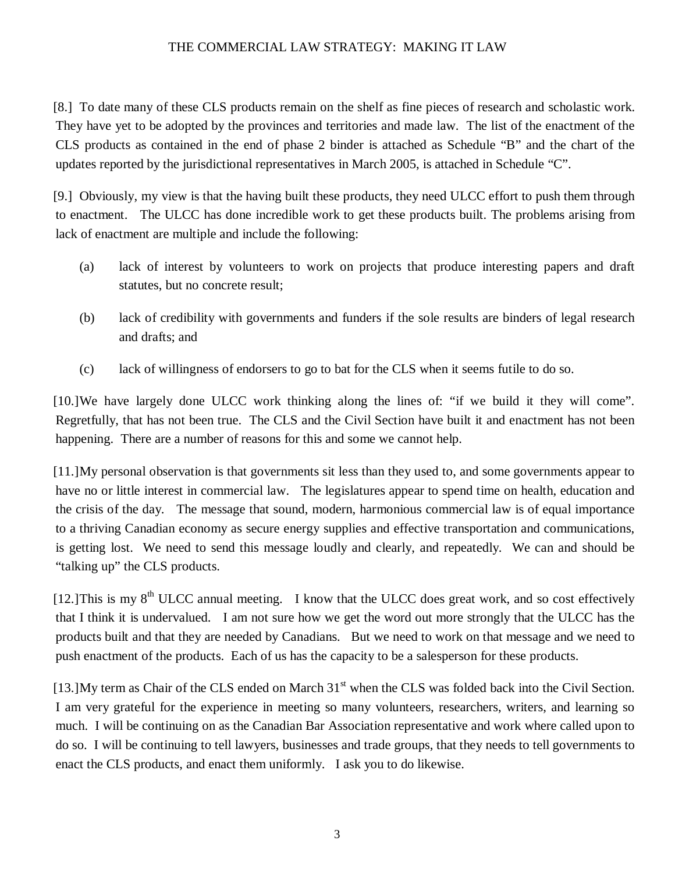[8.] To date many of these CLS products remain on the shelf as fine pieces of research and scholastic work. They have yet to be adopted by the provinces and territories and made law. The list of the enactment of the CLS products as contained in the end of phase 2 binder is attached as Schedule "B" and the chart of the updates reported by the jurisdictional representatives in March 2005, is attached in Schedule "C".

[9.] Obviously, my view is that the having built these products, they need ULCC effort to push them through to enactment. The ULCC has done incredible work to get these products built. The problems arising from lack of enactment are multiple and include the following:

- (a) lack of interest by volunteers to work on projects that produce interesting papers and draft statutes, but no concrete result;
- (b) lack of credibility with governments and funders if the sole results are binders of legal research and drafts; and
- (c) lack of willingness of endorsers to go to bat for the CLS when it seems futile to do so.

[10.]We have largely done ULCC work thinking along the lines of: "if we build it they will come". Regretfully, that has not been true. The CLS and the Civil Section have built it and enactment has not been happening. There are a number of reasons for this and some we cannot help.

[11.]My personal observation is that governments sit less than they used to, and some governments appear to have no or little interest in commercial law. The legislatures appear to spend time on health, education and the crisis of the day. The message that sound, modern, harmonious commercial law is of equal importance to a thriving Canadian economy as secure energy supplies and effective transportation and communications, is getting lost. We need to send this message loudly and clearly, and repeatedly. We can and should be "talking up" the CLS products.

[12.]This is my 8<sup>th</sup> ULCC annual meeting. I know that the ULCC does great work, and so cost effectively that I think it is undervalued. I am not sure how we get the word out more strongly that the ULCC has the products built and that they are needed by Canadians. But we need to work on that message and we need to push enactment of the products. Each of us has the capacity to be a salesperson for these products.

[13.] My term as Chair of the CLS ended on March 31<sup>st</sup> when the CLS was folded back into the Civil Section. I am very grateful for the experience in meeting so many volunteers, researchers, writers, and learning so much. I will be continuing on as the Canadian Bar Association representative and work where called upon to do so. I will be continuing to tell lawyers, businesses and trade groups, that they needs to tell governments to enact the CLS products, and enact them uniformly. I ask you to do likewise.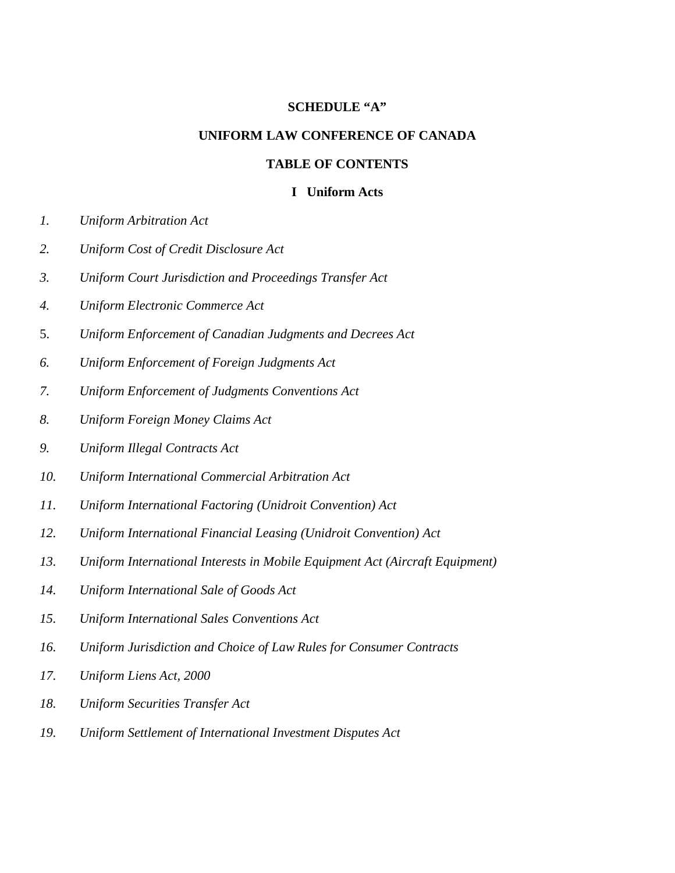#### **SCHEDULE "A"**

#### **UNIFORM LAW CONFERENCE OF CANADA**

#### **TABLE OF CONTENTS**

#### **I Uniform Acts**

- *1. Uniform Arbitration Act*
- *2. Uniform Cost of Credit Disclosure Act*
- *3. Uniform Court Jurisdiction and Proceedings Transfer Act*
- *4. Uniform Electronic Commerce Act*
- 5. *Uniform Enforcement of Canadian Judgments and Decrees Act*
- *6. Uniform Enforcement of Foreign Judgments Act*
- *7. Uniform Enforcement of Judgments Conventions Act*
- *8. Uniform Foreign Money Claims Act*
- *9. Uniform Illegal Contracts Act*
- *10. Uniform International Commercial Arbitration Act*
- *11. Uniform International Factoring (Unidroit Convention) Act*
- *12. Uniform International Financial Leasing (Unidroit Convention) Act*
- *13. Uniform International Interests in Mobile Equipment Act (Aircraft Equipment)*
- *14. Uniform International Sale of Goods Act*
- *15. Uniform International Sales Conventions Act*
- *16. Uniform Jurisdiction and Choice of Law Rules for Consumer Contracts*
- *17. Uniform Liens Act, 2000*
- *18. Uniform Securities Transfer Act*
- *19. Uniform Settlement of International Investment Disputes Act*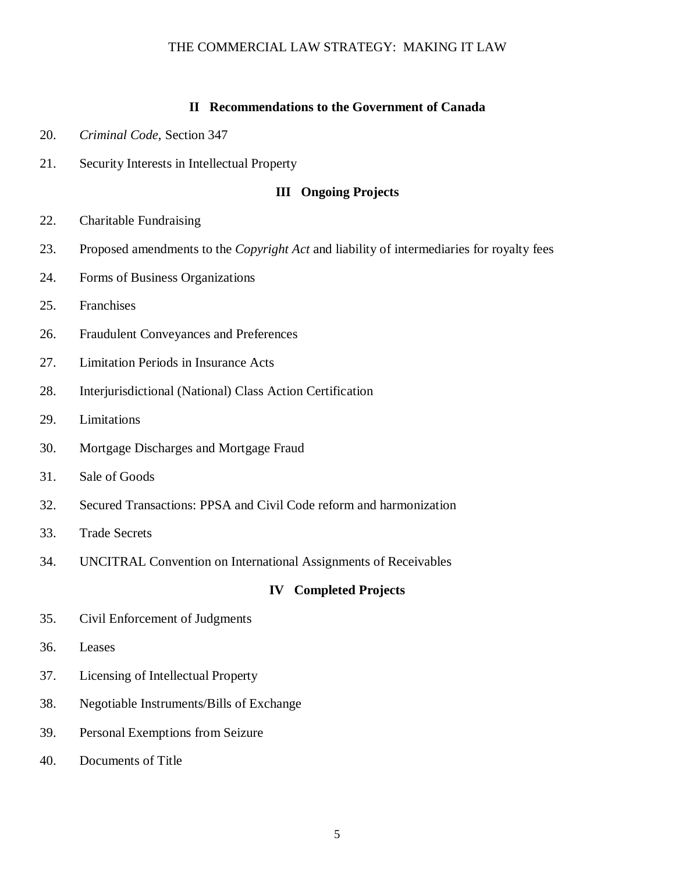#### **II Recommendations to the Government of Canada**

- 20. *Criminal Code*, Section 347
- 21. Security Interests in Intellectual Property

#### **III Ongoing Projects**

- 22. Charitable Fundraising
- 23. Proposed amendments to the *Copyright Act* and liability of intermediaries for royalty fees
- 24. Forms of Business Organizations
- 25. Franchises
- 26. Fraudulent Conveyances and Preferences
- 27. Limitation Periods in Insurance Acts
- 28. Interjurisdictional (National) Class Action Certification
- 29. Limitations
- 30. Mortgage Discharges and Mortgage Fraud
- 31. Sale of Goods
- 32. Secured Transactions: PPSA and Civil Code reform and harmonization
- 33. Trade Secrets
- 34. UNCITRAL Convention on International Assignments of Receivables

#### **IV Completed Projects**

- 35. Civil Enforcement of Judgments
- 36. Leases
- 37. Licensing of Intellectual Property
- 38. Negotiable Instruments/Bills of Exchange
- 39. Personal Exemptions from Seizure
- 40. Documents of Title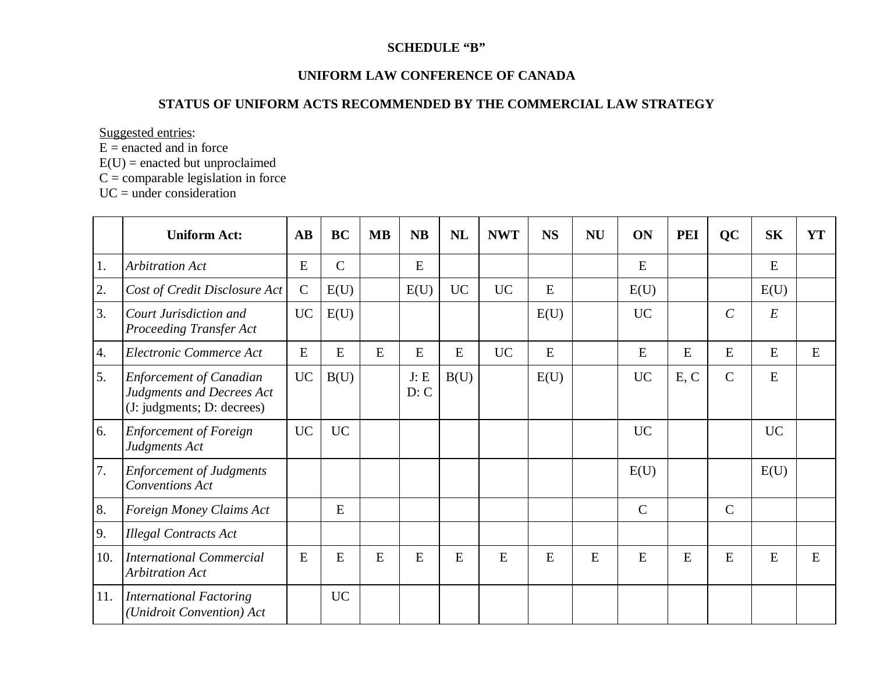#### **SCHEDULE "B"**

#### **UNIFORM LAW CONFERENCE OF CANADA**

#### **STATUS OF UNIFORM ACTS RECOMMENDED BY THE COMMERCIAL LAW STRATEGY**

Suggested entries:

E <sup>=</sup> enacted and in force

 $E(U)$  = enacted but unproclaimed

 $C =$  comparable legislation in force

UC <sup>=</sup> under consideration

|                  | <b>Uniform Act:</b>                                                                       | $\mathbf{A}\mathbf{B}$ | <b>BC</b>    | <b>MB</b> | <b>NB</b>    | <b>NL</b> | <b>NWT</b> | <b>NS</b> | <b>NU</b> | ON           | <b>PEI</b> | QC            | <b>SK</b> | <b>YT</b> |
|------------------|-------------------------------------------------------------------------------------------|------------------------|--------------|-----------|--------------|-----------|------------|-----------|-----------|--------------|------------|---------------|-----------|-----------|
| 1.               | <b>Arbitration Act</b>                                                                    | E                      | $\mathsf{C}$ |           | E            |           |            |           |           | E            |            |               | E         |           |
| 2.               | Cost of Credit Disclosure Act                                                             | $\mathbf C$            | E(U)         |           | E(U)         | <b>UC</b> | <b>UC</b>  | E         |           | E(U)         |            |               | E(U)      |           |
| 3.               | Court Jurisdiction and<br><b>Proceeding Transfer Act</b>                                  | <b>UC</b>              | E(U)         |           |              |           |            | E(U)      |           | <b>UC</b>    |            | $\mathcal{C}$ | $E_{\rm}$ |           |
| $\overline{4}$ . | Electronic Commerce Act                                                                   | E                      | E            | E         | E            | E         | <b>UC</b>  | E         |           | E            | E          | E             | E         | E         |
| 5.               | <b>Enforcement of Canadian</b><br>Judgments and Decrees Act<br>(J: judgments; D: decrees) | <b>UC</b>              | B(U)         |           | J: E<br>D: C | B(U)      |            | E(U)      |           | <b>UC</b>    | E, C       | $\mathbf C$   | ${\bf E}$ |           |
| 6.               | <b>Enforcement of Foreign</b><br>Judgments Act                                            | <b>UC</b>              | <b>UC</b>    |           |              |           |            |           |           | <b>UC</b>    |            |               | <b>UC</b> |           |
| 7.               | <b>Enforcement of Judgments</b><br><b>Conventions Act</b>                                 |                        |              |           |              |           |            |           |           | E(U)         |            |               | E(U)      |           |
| 8.               | Foreign Money Claims Act                                                                  |                        | E            |           |              |           |            |           |           | $\mathsf{C}$ |            | $\mathsf{C}$  |           |           |
| 9.               | <b>Illegal Contracts Act</b>                                                              |                        |              |           |              |           |            |           |           |              |            |               |           |           |
| 10.              | <b>International Commercial</b><br><b>Arbitration Act</b>                                 | E                      | E            | E         | E            | E         | E          | E         | E         | E            | E          | E             | E         | E         |
| 11.              | International Factoring<br>(Unidroit Convention) Act                                      |                        | <b>UC</b>    |           |              |           |            |           |           |              |            |               |           |           |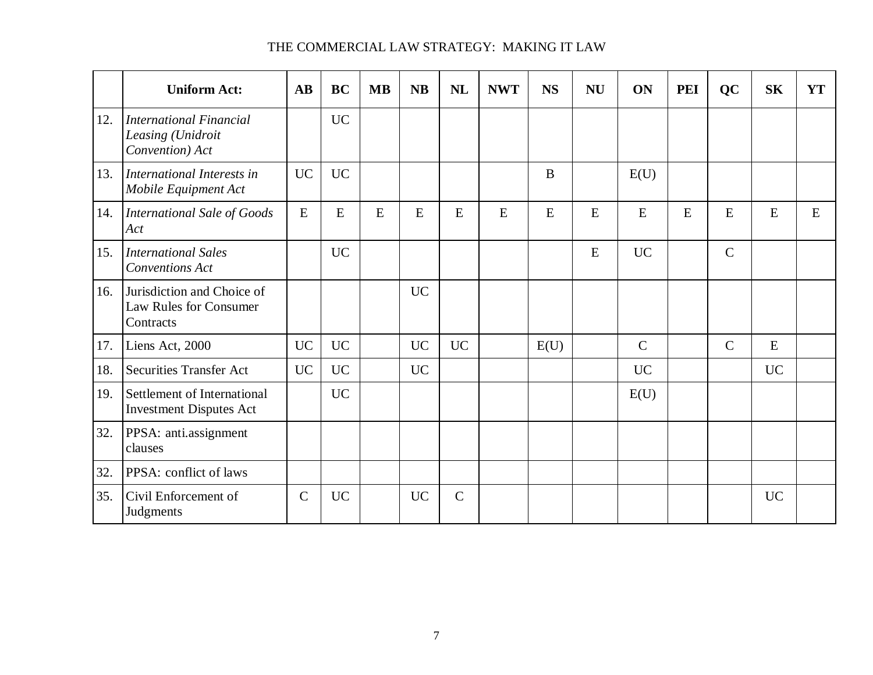|     | <b>Uniform Act:</b>                                               | AB           | <b>BC</b> | <b>MB</b> | <b>NB</b> | <b>NL</b>    | <b>NWT</b> | <b>NS</b> | <b>NU</b> | ON            | <b>PEI</b> | <b>QC</b>    | <b>SK</b> | <b>YT</b> |
|-----|-------------------------------------------------------------------|--------------|-----------|-----------|-----------|--------------|------------|-----------|-----------|---------------|------------|--------------|-----------|-----------|
| 12. | International Financial<br>Leasing (Unidroit<br>Convention) Act   |              | <b>UC</b> |           |           |              |            |           |           |               |            |              |           |           |
| 13. | International Interests in<br>Mobile Equipment Act                | <b>UC</b>    | <b>UC</b> |           |           |              |            | $\bf{B}$  |           | E(U)          |            |              |           |           |
| 14. | International Sale of Goods<br>Act                                | E            | E         | E         | E         | E            | E          | E         | E         | E             | E          | ${\bf E}$    | E         | E         |
| 15. | <b>International Sales</b><br><b>Conventions Act</b>              |              | <b>UC</b> |           |           |              |            |           | E         | <b>UC</b>     |            | $\mathbf C$  |           |           |
| 16. | Jurisdiction and Choice of<br>Law Rules for Consumer<br>Contracts |              |           |           | <b>UC</b> |              |            |           |           |               |            |              |           |           |
| 17. | Liens Act, 2000                                                   | <b>UC</b>    | <b>UC</b> |           | <b>UC</b> | <b>UC</b>    |            | E(U)      |           | $\mathcal{C}$ |            | $\mathsf{C}$ | E         |           |
| 18. | <b>Securities Transfer Act</b>                                    | <b>UC</b>    | <b>UC</b> |           | <b>UC</b> |              |            |           |           | <b>UC</b>     |            |              | <b>UC</b> |           |
| 19. | Settlement of International<br><b>Investment Disputes Act</b>     |              | <b>UC</b> |           |           |              |            |           |           | E(U)          |            |              |           |           |
| 32. | PPSA: anti.assignment<br>clauses                                  |              |           |           |           |              |            |           |           |               |            |              |           |           |
| 32. | PPSA: conflict of laws                                            |              |           |           |           |              |            |           |           |               |            |              |           |           |
| 35. | Civil Enforcement of<br>Judgments                                 | $\mathsf{C}$ | <b>UC</b> |           | <b>UC</b> | $\mathsf{C}$ |            |           |           |               |            |              | <b>UC</b> |           |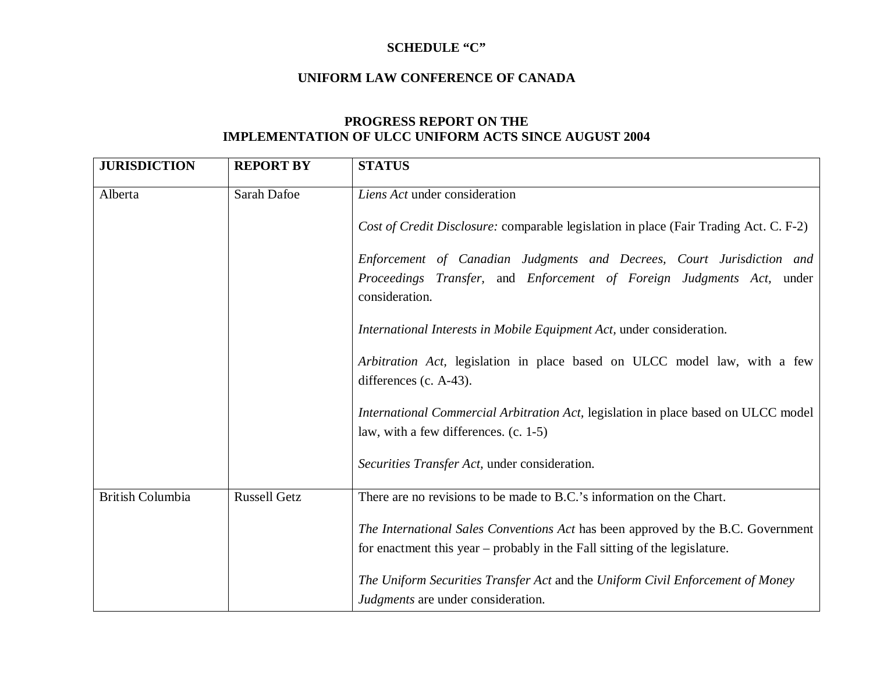#### **SCHEDULE "C"**

#### **UNIFORM LAW CONFERENCE OF CANADA**

# **PROGRESS REPORT ON THE IMPLEMENTATION OF ULCC UNIFORM ACTS SINCE AUGUST 2004**

| <b>JURISDICTION</b>     | <b>REPORT BY</b>    | <b>STATUS</b>                                                                                                               |
|-------------------------|---------------------|-----------------------------------------------------------------------------------------------------------------------------|
| Alberta                 | Sarah Dafoe         | Liens Act under consideration                                                                                               |
|                         |                     | Cost of Credit Disclosure: comparable legislation in place (Fair Trading Act. C. F-2)                                       |
|                         |                     | Enforcement of Canadian Judgments and Decrees, Court Jurisdiction and                                                       |
|                         |                     | Proceedings Transfer, and Enforcement of Foreign Judgments Act, under<br>consideration.                                     |
|                         |                     | International Interests in Mobile Equipment Act, under consideration.                                                       |
|                         |                     | Arbitration Act, legislation in place based on ULCC model law, with a few                                                   |
|                         |                     | differences (c. $A-43$ ).                                                                                                   |
|                         |                     | International Commercial Arbitration Act, legislation in place based on ULCC model                                          |
|                         |                     | law, with a few differences. (c. 1-5)                                                                                       |
|                         |                     | Securities Transfer Act, under consideration.                                                                               |
| <b>British Columbia</b> | <b>Russell Getz</b> | There are no revisions to be made to B.C.'s information on the Chart.                                                       |
|                         |                     | The International Sales Conventions Act has been approved by the B.C. Government                                            |
|                         |                     | for enactment this year – probably in the Fall sitting of the legislature.                                                  |
|                         |                     | The Uniform Securities Transfer Act and the Uniform Civil Enforcement of Money<br><i>Judgments</i> are under consideration. |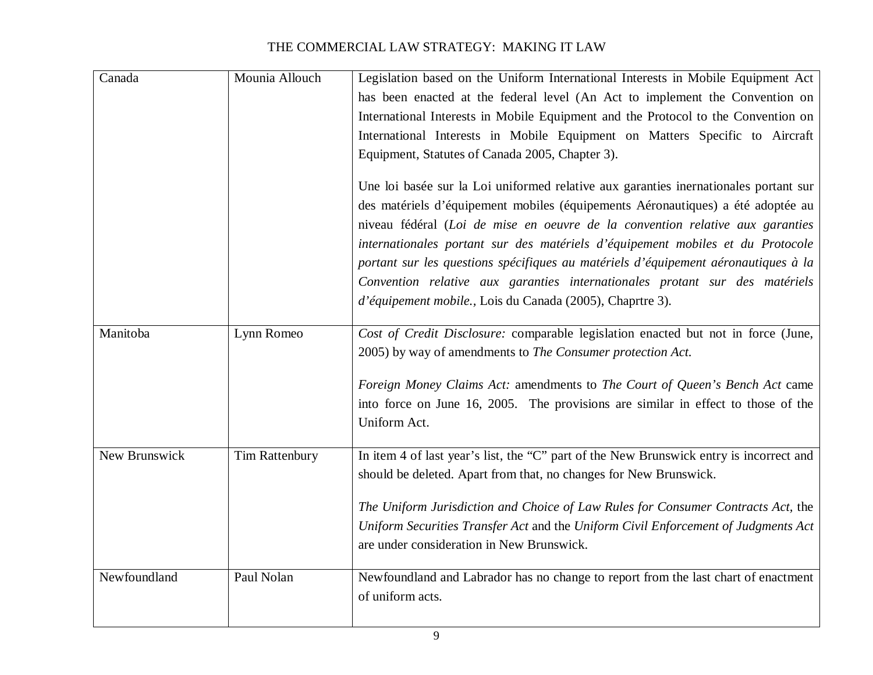| Canada        | Mounia Allouch        | Legislation based on the Uniform International Interests in Mobile Equipment Act        |
|---------------|-----------------------|-----------------------------------------------------------------------------------------|
|               |                       | has been enacted at the federal level (An Act to implement the Convention on            |
|               |                       | International Interests in Mobile Equipment and the Protocol to the Convention on       |
|               |                       | International Interests in Mobile Equipment on Matters Specific to Aircraft             |
|               |                       | Equipment, Statutes of Canada 2005, Chapter 3).                                         |
|               |                       | Une loi basée sur la Loi uniformed relative aux garanties inernationales portant sur    |
|               |                       | des matériels d'équipement mobiles (équipements Aéronautiques) a été adoptée au         |
|               |                       | niveau fédéral (Loi de mise en oeuvre de la convention relative aux garanties           |
|               |                       | internationales portant sur des matériels d'équipement mobiles et du Protocole          |
|               |                       | portant sur les questions spécifiques au matériels d'équipement aéronautiques à la      |
|               |                       | Convention relative aux garanties internationales protant sur des matériels             |
|               |                       | d'équipement mobile., Lois du Canada (2005), Chaprtre 3).                               |
| Manitoba      | Lynn Romeo            | Cost of Credit Disclosure: comparable legislation enacted but not in force (June,       |
|               |                       | 2005) by way of amendments to The Consumer protection Act.                              |
|               |                       | Foreign Money Claims Act: amendments to The Court of Queen's Bench Act came             |
|               |                       | into force on June 16, 2005. The provisions are similar in effect to those of the       |
|               |                       | Uniform Act.                                                                            |
| New Brunswick | <b>Tim Rattenbury</b> | In item 4 of last year's list, the "C" part of the New Brunswick entry is incorrect and |
|               |                       | should be deleted. Apart from that, no changes for New Brunswick.                       |
|               |                       | The Uniform Jurisdiction and Choice of Law Rules for Consumer Contracts Act, the        |
|               |                       | Uniform Securities Transfer Act and the Uniform Civil Enforcement of Judgments Act      |
|               |                       | are under consideration in New Brunswick.                                               |
| Newfoundland  | Paul Nolan            | Newfoundland and Labrador has no change to report from the last chart of enactment      |
|               |                       | of uniform acts.                                                                        |
|               |                       |                                                                                         |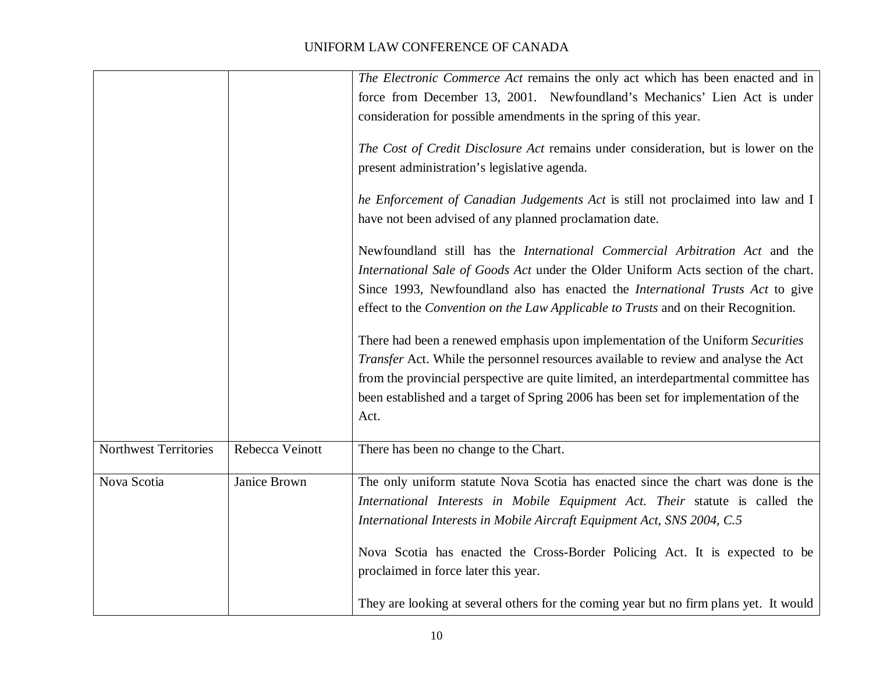# *The Electronic Commerce Act* remains the only act which has been enacted and in force from December 13, 2001. Newfoundland's Mechanics' Lien Act is under consideration for possible amendments in the spring of this year. *The Cost of Credit Disclosure Act* remains under consideration, but is lower on the presen<sup>t</sup> administration's legislative agenda. *he Enforcement of Canadian Judgements Act* is still not proclaimed into law and I have not been advised of any planned proclamation date. Newfoundland still has the *International Commercial Arbitration Act* and the *International Sale of Goods Act* under the Older Uniform Acts section of the chart. Since 1993, Newfoundland also has enacted the *International Trusts Act* to give effect to the *Convention on the Law Applicable to Trusts* and on their Recognition. There had been <sup>a</sup> renewed emphasis upon implementation of the Uniform *Securities Transfer* Act. While the personnel resources available to review and analyse the Act from the provincial perspective are quite limited, an interdepartmental committee has been established and <sup>a</sup> target of Spring 2006 has been set for implementation of the Act.Northwest TerritoriesRebecca Veinott a Veinott  $\blacksquare$  There has been no change to the Chart. Nova Scotia Janice Brown The only uniform statute Nova Scotia has enacted since the chart was done is the *International Interests in Mobile Equipment Act. Their* statute is called the *International Interests in Mobile Aircraft Equipment Act, SNS 2004, C.5* Nova Scotia has enacted the Cross-Border Policing Act. It is expected to be proclaimed in force later this year. They are looking at several others for the coming year but no firm plans yet. It would

## UNIFORM LAW CONFERENCE OF CANADA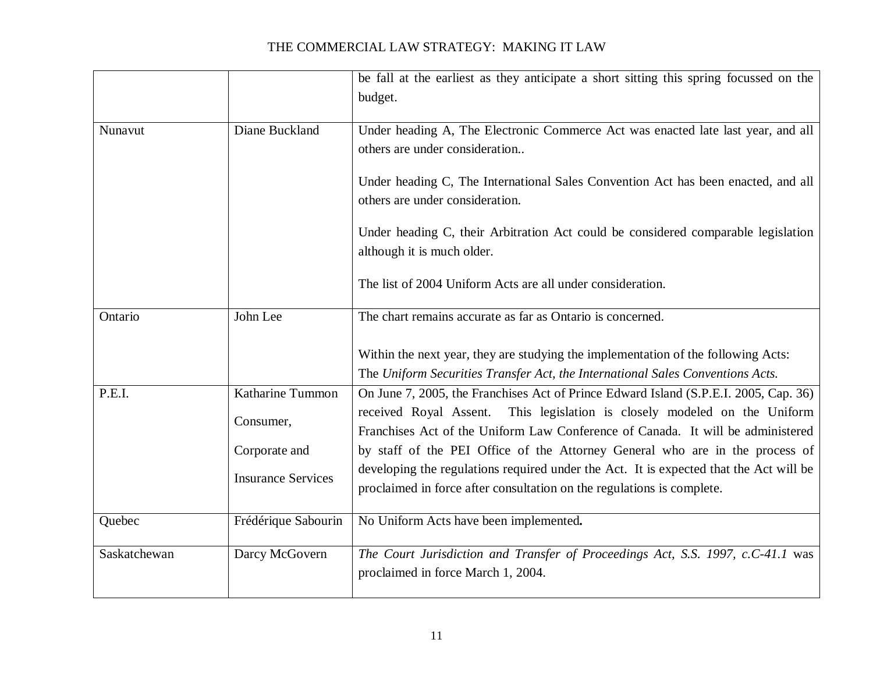|              |                           | be fall at the earliest as they anticipate a short sitting this spring focussed on the<br>budget.                                                                   |
|--------------|---------------------------|---------------------------------------------------------------------------------------------------------------------------------------------------------------------|
| Nunavut      | Diane Buckland            | Under heading A, The Electronic Commerce Act was enacted late last year, and all<br>others are under consideration                                                  |
|              |                           | Under heading C, The International Sales Convention Act has been enacted, and all<br>others are under consideration.                                                |
|              |                           | Under heading C, their Arbitration Act could be considered comparable legislation<br>although it is much older.                                                     |
|              |                           | The list of 2004 Uniform Acts are all under consideration.                                                                                                          |
| Ontario      | John Lee                  | The chart remains accurate as far as Ontario is concerned.                                                                                                          |
|              |                           | Within the next year, they are studying the implementation of the following Acts:<br>The Uniform Securities Transfer Act, the International Sales Conventions Acts. |
| P.E.I.       | Katharine Tummon          | On June 7, 2005, the Franchises Act of Prince Edward Island (S.P.E.I. 2005, Cap. 36)                                                                                |
|              | Consumer,                 | received Royal Assent. This legislation is closely modeled on the Uniform<br>Franchises Act of the Uniform Law Conference of Canada. It will be administered        |
|              | Corporate and             | by staff of the PEI Office of the Attorney General who are in the process of                                                                                        |
|              | <b>Insurance Services</b> | developing the regulations required under the Act. It is expected that the Act will be<br>proclaimed in force after consultation on the regulations is complete.    |
| Quebec       | Frédérique Sabourin       | No Uniform Acts have been implemented.                                                                                                                              |
| Saskatchewan | Darcy McGovern            | The Court Jurisdiction and Transfer of Proceedings Act, S.S. 1997, c.C-41.1 was<br>proclaimed in force March 1, 2004.                                               |